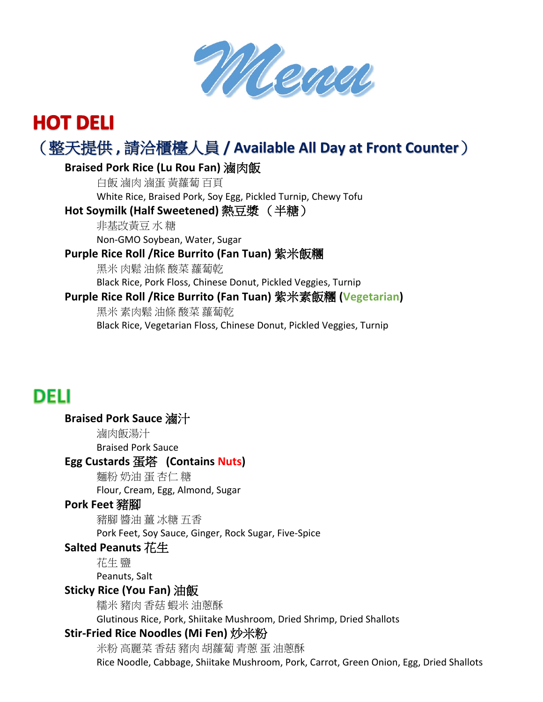

# **HOT DELI** (整天提供 **,** 請洽櫃檯人員 **/ Available All Day at Front Counter**)

## **Braised Pork Rice (Lu Rou Fan)** 滷肉飯

白飯 滷肉 滷蛋 黃蘿蔔 百頁 White Rice, Braised Pork, Soy Egg, Pickled Turnip, Chewy Tofu

# **Hot Soymilk (Half Sweetened)** 熱豆漿 (半糖)

非基改黃豆 水 糖 Non-GMO Soybean, Water, Sugar

# **Purple Rice Roll /Rice Burrito (Fan Tuan)** 紫米飯糰

黑米 肉鬆 油條 酸菜 蘿蔔乾 Black Rice, Pork Floss, Chinese Donut, Pickled Veggies, Turnip

# **Purple Rice Roll /Rice Burrito (Fan Tuan)** 紫米素飯糰 **(Vegetarian)**

黑米 素肉鬆 油條 酸菜 蘿蔔乾 Black Rice, Vegetarian Floss, Chinese Donut, Pickled Veggies, Turnip

# **DELI**

# **Braised Pork Sauce** 滷汁 滷肉飯湯汁 Braised Pork Sauce **Egg Custards** 蛋塔 **(Contains Nuts)** 麵粉 奶油 蛋 杏仁 糖 Flour, Cream, Egg, Almond, Sugar **Pork Feet** 豬腳

豬腳 醬油 薑 冰糖 五香 Pork Feet, Soy Sauce, Ginger, Rock Sugar, Five-Spice

# **Salted Peanuts** 花生

花生 鹽

Peanuts, Salt

# **Sticky Rice (You Fan)** 油飯

糯米 豬肉 香菇 蝦米 油蔥酥

Glutinous Rice, Pork, Shiitake Mushroom, Dried Shrimp, Dried Shallots

# **Stir-Fried Rice Noodles (Mi Fen)** 炒米粉

米粉 高麗菜 香菇 豬肉 胡蘿蔔 青蔥 蛋 油蔥酥 Rice Noodle, Cabbage, Shiitake Mushroom, Pork, Carrot, Green Onion, Egg, Dried Shallots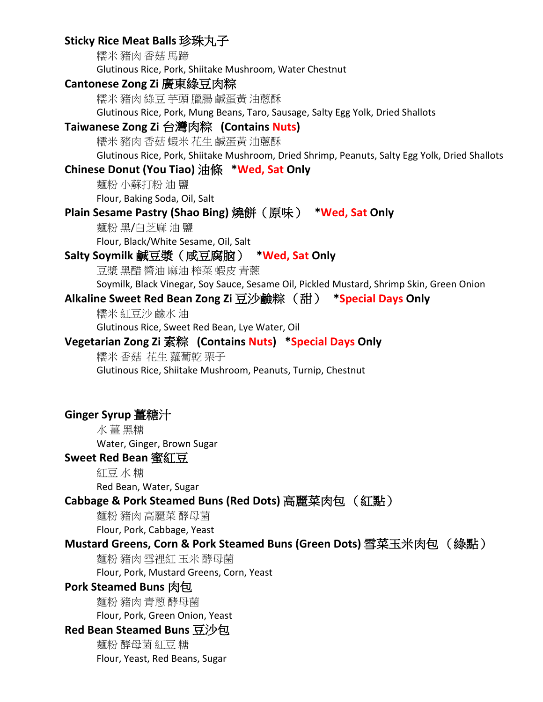# **Sticky Rice Meat Balls** 珍珠丸子

糯米 豬肉 香菇 馬蹄 Glutinous Rice, Pork, Shiitake Mushroom, Water Chestnut **Cantonese Zong Zi** 廣東綠豆肉粽 糯米 豬肉 綠豆 芋頭 臘腸 鹹蛋黃 油蔥酥 Glutinous Rice, Pork, Mung Beans, Taro, Sausage, Salty Egg Yolk, Dried Shallots **Taiwanese Zong Zi** 台灣肉粽 **(Contains Nuts)** 糯米 豬肉 香菇 蝦米 花生 鹹蛋黃 油蔥酥 Glutinous Rice, Pork, Shiitake Mushroom, Dried Shrimp, Peanuts, Salty Egg Yolk, Dried Shallots **Chinese Donut (You Tiao)** 油條 **\*Wed, Sat Only** 麵粉 小蘇打粉 油 鹽 Flour, Baking Soda, Oil, Salt **Plain Sesame Pastry (Shao Bing)** 燒餅(原味) **\*Wed, Sat Only** 麵粉 黑/白芝麻 油 鹽 Flour, Black/White Sesame, Oil, Salt **Salty Soymilk** 鹹豆漿(咸豆腐脑) **\*Wed, Sat Only** 豆漿 黑醋 醬油 麻油 榨菜 蝦皮 青蔥 Soymilk, Black Vinegar, Soy Sauce, Sesame Oil, Pickled Mustard, Shrimp Skin, Green Onion **Alkaline Sweet Red Bean Zong Zi** 豆沙鹼粽 (甜) **\*Special Days Only** 糯米 紅豆沙 鹼水 油 Glutinous Rice, Sweet Red Bean, Lye Water, Oil **Vegetarian Zong Zi** 素粽 **(Contains Nuts) \*Special Days Only** 糯米 香菇 花生 蘿蔔乾 栗子 Glutinous Rice, Shiitake Mushroom, Peanuts, Turnip, Chestnut **Ginger Syrup** 薑糖汁 水 薑 黑糖 Water, Ginger, Brown Sugar **Sweet Red Bean** 蜜紅豆 紅豆 水 糖 Red Bean, Water, Sugar **Cabbage & Pork Steamed Buns (Red Dots)** 高麗菜肉包 (紅點) 麵粉 豬肉 高麗菜 酵母菌 Flour, Pork, Cabbage, Yeast **Mustard Greens, Corn & Pork Steamed Buns (Green Dots)** 雪菜玉米肉包 (綠點) 麵粉 豬肉 雪裡紅 玉米 酵母菌 Flour, Pork, Mustard Greens, Corn, Yeast

#### **Pork Steamed Buns** 肉包

麵粉 豬肉 青蔥 酵母菌 Flour, Pork, Green Onion, Yeast

#### **Red Bean Steamed Buns** 豆沙包

麵粉 酵母菌 紅豆 糖 Flour, Yeast, Red Beans, Sugar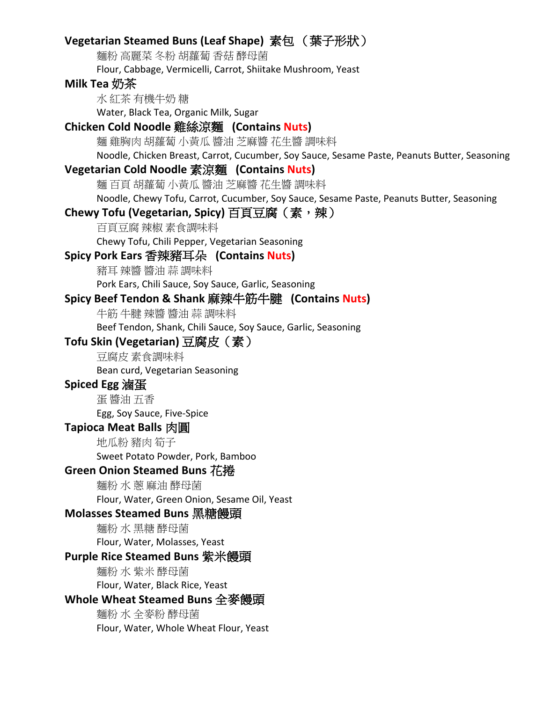## **Vegetarian Steamed Buns (Leaf Shape)** 素包 (葉子形狀)

麵粉 高麗菜 冬粉 胡蘿蔔 香菇 酵母菌

Flour, Cabbage, Vermicelli, Carrot, Shiitake Mushroom, Yeast

#### **Milk Tea** 奶茶

水 紅茶 有機牛奶 糖 Water, Black Tea, Organic Milk, Sugar

#### **Chicken Cold Noodle** 雞絲涼麵 **(Contains Nuts)**

麵 雞胸肉 胡蘿蔔 小黃瓜 醬油 芝麻醬 花生醬 調味料

Noodle, Chicken Breast, Carrot, Cucumber, Soy Sauce, Sesame Paste, Peanuts Butter, Seasoning

#### **Vegetarian Cold Noodle** 素涼麵 **(Contains Nuts)**

麵 百頁 胡蘿蔔 小黃瓜 醬油 芝麻醬 花生醬 調味料

Noodle, Chewy Tofu, Carrot, Cucumber, Soy Sauce, Sesame Paste, Peanuts Butter, Seasoning

#### **Chewy Tofu (Vegetarian, Spicy)** 百頁豆腐(素,辣)

百頁豆腐 辣椒 素食調味料

Chewy Tofu, Chili Pepper, Vegetarian Seasoning

#### **Spicy Pork Ears** 香辣豬耳朵 **(Contains Nuts)**

豬耳 辣醬 醬油 蒜 調味料

Pork Ears, Chili Sauce, Soy Sauce, Garlic, Seasoning

#### **Spicy Beef Tendon & Shank** 麻辣牛筋牛腱 **(Contains Nuts)**

牛筋 牛腱 辣醬 醬油 蒜 調味料

Beef Tendon, Shank, Chili Sauce, Soy Sauce, Garlic, Seasoning

#### **Tofu Skin (Vegetarian)** 豆腐皮(素)

豆腐皮 素食調味料

Bean curd, Vegetarian Seasoning

#### **Spiced Egg** 滷蛋

蛋 醬油 五香 Egg, Soy Sauce, Five-Spice

#### **Tapioca Meat Balls** 肉圓

地瓜粉 豬肉 筍子

Sweet Potato Powder, Pork, Bamboo

#### **Green Onion Steamed Buns** 花捲

麵粉 水 蔥 麻油 酵母菌 Flour, Water, Green Onion, Sesame Oil, Yeast

#### **Molasses Steamed Buns** 黑糖饅頭

麵粉 水 黑糖 酵母菌 Flour, Water, Molasses, Yeast

#### **Purple Rice Steamed Buns** 紫米饅頭

麵粉 水 紫米 酵母菌 Flour, Water, Black Rice, Yeast

#### **Whole Wheat Steamed Buns** 全麥饅頭

麵粉 水 全麥粉 酵母菌 Flour, Water, Whole Wheat Flour, Yeast